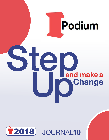

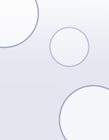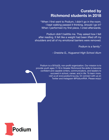#### **Curated by Richmond students in 2018**

"When I first went to Podium, I didn't go in the room. I kept walking passed it thinking, should I go in? When I performed my first piece, I cried afterwards.

Podium didn't belittle me. They asked how I felt after reading. It felt like a weight had been lifted off my shoulders and all of my emotional barriers were removed.

Podium is a family."

- *Oneisha G., Huguenot High School Alum*

Podium is a 501(c)(3), non-profit organization. Our mission is to provide youth ages 11-19 in Greater Richmond the skills to become confident and capable writers, communicators, and leaders to succeed in school, career, and in life. To learn more, visit us at www.podiumrva.org. Or connect with us on Twitter and Instagram @PodiumRVA. Please enjoy!

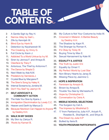### **TABLE OF CONTENTS**

- 3 A Gentle Sigh by Rey H.
- 4 Narrow Alley by Gail L.
- 5. Zife by Kennijah W.
- 6. Blind Eye by Hank B.
- 7. Detention by Keysharerah W.
- 8. The Creaking, by Vinny G.
- 9. Full Circle by Kavin J.
- 11. Addicted To a World Untrue by Ivy M.
- 12. Siren by Jennoa F. and Amaya B.
- 13. Clawface by Tracy F.
- 14. Antorious, The Thief by Antionne F.
- 15. The Dance by Shayla D.
- 15. Next Week by Ada N.W.
- 16. Predators by Vanniecia J.
- 17. Crystal Blue by Maryjane P.
- 18. The Siren's Song by Haley K.
- 19. Internal Screams by Jonisha M.
- 20. Don't You See? by Jasmyn W.
- 21 **SELF-ADVOCACY & COMMUNITY ACTION**
- 22. The Hate You Give by Kyana J.
- 24. Immigration Discrimination by Lovely C.C.
- 25. Heaven and Darth by Marcus D.
- 26. Because Newtown Can Happen to Anyone 46. by Destiny H.H.
- 28. **WALK IN MY SHOES**
- 29. My Skin by Zakiya R.
- 29. Roots by Kamari B.
- 30. My Culture is Not Your Costume by India W.
- 31. Crowned in Melanin: A Barbie Beauty by Destiny H.H.
- 32. The Shadow by Kapri R.
- 32. The Stranger by Roman K.
- 33. It's Okay by Torey W.
- 34. Buying Time by Max E.
- 34. Sexual Harrasment by Kate W.

#### 35. **EQUALITY & JUSTICE**

- 36. The Truth by Justin D.V.
- 37. Equality by Omari Y.
- 38. My Perfect World by Lost Star
- 39. Non-Binary Hearts by Janay B.
- 39. Missing Piece by Jasmine C.
- 40. **HOPE & INSPIRATION**
- 41. Feminism by Amazin B.
- 42. Brown by Amaya B.
- 43. Trouble You See by Ma'reesha R.
- 43. Hope by Christopher O.
- 43. Conversation by Ceira A.

#### 44. **MIDDLE SCHOOL SELECTIONS**

- 45. The Surgeon by Cat A.
	- The Impress by Mirahkhal D.
- 47. 17 from Parkland by Julia H.P., Aniyah R., Roselee B., Sha'Aijah M., and Shiya B.
- 48. The Dream by Julia H.P
- 49. Bullied by Ilaria B.
- 50. **YOUTH PROGRAM PARTICIPANTS**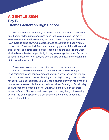#### **A GENTLE SIGH Rey F. Thomas Jefferson High School**

The sun sets over Fracture, California, painting the sky in a lavender hue. Large, white, triangular glyphs hang in the sky, making the many stars seem small and irrelevant against the mauve background. Fracture is an average sized town, with a large maze of suburbs and apartments to the north. The town hall, Fracture community park, with its willows and duck ponds, and other places of recreation, are to the east. To the west sits the beach, basked in purple light. Lazy waves lap the shore. Below the surface lie groves of kelp, swaying with the ebb and flow of the ocean and hiding who knows what.

A young couple sits on a towel between the dunes, watching the glowing sun melt into the sea. They hold hands and eat orange Dreamsicles; they are happy. Across the town, a white-haired girl sits on the roof of her parents' house, listening to the playlist her girlfriend made for her through her earbuds. She clutches a stuffed bunny in her arms and has a cream-colored blanket wrapped around her. She sighs. On Monday, she knocked the screen out of her window, so she could sit out there when she's sad. She sighs and looks up at the triangular glyphs glowing white in the empty space of the atmosphere, determined to someday figure out what they are.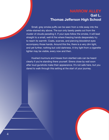#### **NARROW ALLEY Gail L. Thomas Jefferson High School**

Small, grey smoke puffs can be seen from a mile away into the white-stained sky above. The sun only barely peeks out from the cluster of clouds parading it. If your eyes follow the smoke, it will lead straight to a small, well-lit fire where freezing hands desperately try to reach its warmth. Coats, scarves, and piercing bloodshot eyes accompany those hands. Around this fire, there is a very dim light, and yet further, nothing but cold darkness. A tiny light from a cigarette lighter may be visible, every now and then.

Hushed murmurs and hisses from startled cats can be heard clearly if you're standing there yourself. Sirens close by wail soon after loud gunshots make their appearance. It's not safe here, but you dared to walk through this setting at the start of your journey.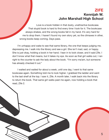#### **ZIFE Kennijah W. John Marshall High School**

 Love is a book hidden in that dusty, unattractive bookcase. That stupid book is hard to find every time I look for it. The bookcase always shakes, and the wrong books fall in my hand. It's very hard for me to drop them. I haven't found my own story yet, so the climaxes in other, wrong books keep coming. Days pass.

I'm unhappy and wake to see that same library, the one that keeps judging me, depressing me. I walk into the library and see a girl. She isn't mad, sad, or happy. She is just okay, holding a book in her hand. I lean in to look closer, and it said Zife. I don't know what that means, but it takes my eye. As soon as that girl walks out, I ran right to the counter to ask the lady about the book. "I'm sorry ma'am, but someone has already checked it out."

I waited and waited for about a week, until one day, I went to that same bookcase again. Something told me to look higher. I grabbed the ladder and went to the last shelf at the top. I saw it, Zife. A month later, I walk back into the library to return the book. That same girl walks past me again, now holding a book that read, Zife 2.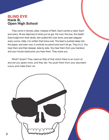#### **BLIND EYE Hank B. Open High School**

They come in droves, piles, masses of flesh. Each carries a need. Each and every. All are deprived of what you've got, the cool, the love, the health. Eyes bulge from their skulls, skin pulled thin over bone, and pain plagues every ounce. Help, I've written that twice over. The lead is pushed deep into the paper, and even now, it controls my pencil and won't let go. They try it. You hear them and their despair, side by side. You hear them from your barstool and your house-sized pool; you hear them. They scare you.

What? Scare? They need so little of that which there is so much of, and yet you spare none, and they die. You push them from your abundant luxury and make them rot.

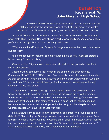#### **DETENTION Keysharerah W. John Marshall High School**

 In the back of the classroom sat a dark-skin girl with full lips and a full on attitude. She sat in the chair and picked at her thick, dark brown hair, tangled and full of knots. If it wasn't in a big afro you would think she had a bad hair day.

"Quaera?" The brown girl looked up. It was Courage. Quaera rolled her eyes; she never really liked Courage. She was always smart, always studying, and always picture perfect, from her tight box braids to her baby doll shoes.

"Why are you here?" snapped Quaera. Courage was always the one to back down, but not today.

"I'm here because the teacher told me to keep an eye on you," Courage stated, a bit too boldly for her own liking.

Quarea smiles. "Figures. Well, take a seat. Me and you are gonna be here for a while," she laughed.

Just then, they both turned their heads at the sound of the door opening. Screaming, "I HATE THIS SCHOOL!" was Star, upset because she was missing a date. As Star sat down in front of the two girls, she could feel them watching her. "What are you looking at?" she snapped at Courage. Another wave of boldness went through Courage. "A ho\*," she stated.

That set Star off. She had enough of being called something she was not. Just because she liked to date from time to time didn't mean she did so with everyone. She launched over the chair and lifted Courage off her seat. Usually, Courage would have been terrified, but in that moment, she took a good look at Star. She studied her features, her caramel skin, small, yet seductive body, and her deep brown eyes. Courage realized why boys look at Star with lust.

Mr. Mathews, coming back from the bathroom, screamed, "No rough housing in detention!" Star quickly put Courage down and sat in her seat with an evil glare. "You are all in here for a reason. Quarea for walking out of class in a protest, Star for making inappropriate comments in class, and you, Ms. Courage, for fighting with a teacher." Mr. Mathews smiled an odd smile, "Girls' detention is now in session."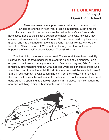#### **THE CREAKING Vinny G. Open High School**

 There are many natural phenomena that exist in our world, but few compare to the thirteen-year creaking infestation. Every time the cicadas come, it does not surprise the residents of Valiant Yarns, who have succumbed to the insect's bothersome noise. One year, however, they came out at an unexpected time, October. No one questioned why they were around, and many blamed climate change. One man, Dr. Hema, warned the townsfolk, "This is unnatural. We should not shrug this off as just another happening of cicadas!" Nobody listened. They all fell silent.

The first night, there were twelve dead. The second, forty-three dead. By Halloween, half the town had fallen to a source no one could pinpoint. Panic erupted in the town, and many attempted to flee this unforgiving fate. Dr. Hema remained, determined to find out what had occurred. He concluded those who spent the most time outdoors fell ill first. As more perished, he soon felt himself falling ill, as if something was consuming him from the inside. He remained in the town until he was the last resident. The last reports of those abandoned and dead came in. Upon finding a foreign element in his blood, his vision faded. He saw one last thing, a cicada bursting through his chest.

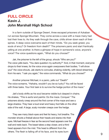#### **FULL CIRCLE Kavin J. John Marshall High School**

In a farm outside of Sponge Desert, three escaped prisoners of Azkaban run across Sponge Mountain. They come across a cave with a maze many had lost their lives to. As they walk through the cave, chills shiver down each of their spines. A deep voice overcame each of their minds. "Do you seek greed, you souls of envy? Or freedom from death?" The prisoners panic and start frantically yelling at one another. Is there a glimpse of hope in someone's voice, anyone's voice? The voice questions again, "What do you choose?"

Jak, the prisoner to the left of the group, shouts "Who are you?" The voice yells back, "You dare question my authority?" And, in that moment, everyone drops to their knees, for the voice once again overpowers their bodies. "I will show you!" the voice shouts. Jak starts to convulse, shaking violently, with blood streaming from his ears. "I ask you again," the voice commands, "What do you choose?"

Another prisoner Michael, in a panic, yells out "Death!" The voice screams, "Hahaha, wouldn't you be so lucky? You will be faced with three tasks. Your first task is to survive the hedge portion of the maze."

Jak's body shifts as his soul became visible but clasped in chains. He shakes, "This is awful and painful. Do the maze. Conquer." The prisoners slowly creep around the first corner of the maze and see a large shadow. They hear a loud snarl and heavy foot falls on the other side of the wall. A large, scaly monster creeps over the hedge.

They see many black eyes and feel its heavy, hot breathe. The monster shoots a fireball above their heads and stares into their eyes. Michael freezes in fear as the second head appears over the wall and reels back. The beast takes a step closer, and a third head appears from the mist. This head is different from the others. The flesh is falling off of its face, and its eyes burn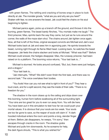with green flames. The rattling and cracking of bones snap in place to look directly at Jak. The monster growls, "what are you and why are you here?" Shaken with fear, no one answers the beast. Jak could feel the chains on his soul beginning to tighten.

Michael panics again, picks up a branch off the ground, and throws it into the burning, green flames. The beast barely flinches, "You mortals make me laugh." The third prisoner, Mao, sprints back the way they came, but just as he runs around the corner, the walls of the maze slam shut. The chains around Jak tighten once again. Now, all that is left of the three, original escaped convicts are Michael and Jak's soul. Michael looks back at Jak and sees him in agonizing pain. He sprints towards the beast, running right through its flame-filled head. Looking back, he watches the beast disappear. Jak feels the chains slacken and looks at Michael. "What was that?" Before Michael could answer, the hedges disappear. Mao, the runaway prisoner, had been raised on to a platform. The booming voice returns, "Your last task is…"

Michael is stunned. He looks around confused, "But, but, there were just hedges, and a dragon."

"Your last task is...

"Jak interrupts, "What? We didn't even finish the first task, and there was no second task." The voice overtakes their bodies.

"You fools! How can you not see what is right in front of you?" They hear a loud crack, and for a split second, they see the inside of their cells. "There is no freedom for you."

The shadow in the room draws up to the ceiling and drips down over this looming, human form before swallowing all of the surrounding light. "Your sins are too great for you to ever run away from. You will die here. You have been put in this simulation to test how far we could push your mortal values. It is obvious that your souls are too weak. Your souls are too far gone to save, so the reaper of souls will claim it." A dark hooded individual enters the room and points a long, slender finger at them. Before Jak disappears, he weeps, "I'm sorry," then escapes through cracks in the room. The shadow grabs Michael and pulls him downwards. As he screams for help, the dark figure shouts, "This is what you wished for."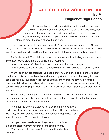#### **ADDICTED TO A WORLD UNTRUE Ivy M. Huguenot High School**

 It was her third or fourth time visiting, and I could tell she was addicted. Maybe it was the freshness of the air, or the loneliness, but either way, I knew she was hooked because that's how they get you. They sell you a little bit, little trials, so you can taste how life could be there. You stop and smell the roses of how things were.

I first recognized her by the falls because we don't get many returned newcomers. Not as many as before. I don't know what type of software they have out there now, for people like us who want to escape for good. I don't know how things work out there anymore, and I don't want to.

That's why we left. The outside world was too intense; addicts floating about everywhere. The chaos is what drew me to the abuse in the first place.

"You're staring again," Michah said. "And if you keep it up, she'll see you." "And what makes you think I care?" I snapped back. "I'm a big girl and can handle my own."

"Nomi, don't get too attached. You don't know her, let alone if she's here for good." I let his words fade into white noise and turned my attention back to the new girl, if one could call her that. Four times in the span of a month; one might consider you more than a newcomer. Michah was still talking when I jumped down into the meadow where she was sitting, content and alone, singing to herself. I didn't make any noise when I landed, so she didn't turn to face me.

She felt pure, humming to the grass and columbine. Her shoulders were soft and forgiving, and her hair, short and curly. Her hands looked as delicate as the flowers she picked, and then she turned towards me.

"Here, for the one that watches." She smiled, her voice strong and young. Her face held round and kind features. This was nothing like mine, which expressed firmness and housed droopy eyes that knew too much. "What should I call you?"

I stooped down beside her on the grass and columbine, picked the blossoms from her fingers, and smiled. "Nomi."

"Zuri," she said. If there was a future. I heard it on her lips that day.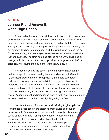#### **SIREN Jennoa F. and Amaya B. Open High School**

A faint call of the wind echoed through the air as a little boy snuck back to the tidal pool to see if anything had happened to his toy. The teddy bear had been moved from its original position, but the boy's eyes were glued to this being, emerging out of the pool. It looked human, but not entirely. The boy let out a gasp, and the siren turned to face the boy. Out of everything, the siren's eyes were the most noticeable, filled with fear and sadness. The siren had long blonde hair, a white shirt, and an orange, holochrome tail. She quickly put down a large seashell before disappearing, leaving the boy alone, without any closure.

He finds himself by the ocean later on that morning, sitting in that same spot in the sand, feeling hopeful and expectant. Seagulls fly overhead, cawing as they swoop down, and bears submerge underwater, coming back up in the blink of an eye, a fish caught in its grasp. He absentmindedly traces shapes into the damp sand beneath him and looks out into the vast, blue landscape. Every once in a while, he thinks he sees her, and stands quickly, running to the edge of the shore. Disappointment and impatience wash over him. A large mound of seaweed washes up on the shore, lightly grazing his feet.

He sits in the sand for hours on end, refusing to give up hope. He watches boats pass in the distance, from cruise ships full of passengers, to far more modest vessels, with one or two fishermen eating sandwiches and making conversation to pass the time. He watches children splash and push each other into the water on the further end of the beach and sees a happy, young couple walking across the sand together under the sunset. By mid-afternoon, he decides to quit.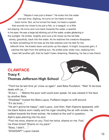"Maybe it was just a dream." He looks into the water one last time. Sighing, he turns on his heels to head back home. But, as he turned his head, he hears a splash that sounds too close to be just a fish, or a seagull, or a little kid playing. He turns and runs back towards the water, a sparkle in his eyes. He saw a large tail sticking out of the water, scales glistening in the sunlight. He smiles brightly and runs a bit closer as the tail falls slowly, gracefully, back into the water. As he watches the creature disappear, he feels something hit his toes as the tide washes over his feet for the billionth time. He kneels down and picks up the object. A bright, turquoise gem, it catches the light from the setting sun. He smiles even wider now, realizing he's been left another gift, that he hadn't been dreaming. Realizing, he has a new friend.

#### **CLAWFACE**

#### **Tracy F. Thomas Jefferson High School**



"This'll be da last time ya' cross us again", said Beta-Fluufaloni. "Wait 'til da boss deals with ya…"

"B-but I. . ." Before the poor wolf could even speak, he was clawed in the face by another Beta.

"Shaddap!" howled the Beta-Lupus. Fluffaloni began to sniff around. "It's da boss..."

"He ain't gonna be happy", said Lupus. Just then, Alph-Kapone appeared, with his black fedora worn neatly and his cigar clouding the air with smoke. He walked towards the three wolves. He looked at the wolf in question, Alph's eyes piercing into his soul.

"Fool me once, shame on you. Fool me twice, shame on me. Fool me three times? Shame on my pack."

"Boss, I didn't. . ."

"SHADDAP!" Lupus roared.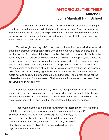#### **ANTORIOUS, THE THIEF Antione F. John Marshall High School**

As I steal another wallet, I think about my sister. I wonder what she's doing right now. Is she using the money I collected earlier to buy us groceries? As I maneuver my way through the endless crowd in the public market, I continue to take the hard-earned money of sweaty men and perfumed cloaked women. I often think to myself, isn't this wrong? *Won't God shun me for the way I live?* 

Those thoughts are only brief. I push them to the back of my mind with the sound of a hungry stomach and a pocket filling with change. A couple more pockets, and I'll meet my quota. As I swim with the flow of traffic, I flow with the movements of a beautiful, young lady, and as I am about to make my move and reach for her purse, she senses me. Turning around, she meets my eyes with a gentle smile, and I do the same. I make small talk, so she doesn't know that I, Antorious the pickpocket, am about to rob her blind. We find ourselves on the topic of work. She tells me she owns a bakery on the opposite side of town and is out buying ingredients. She asks me, and as I'm about to lie, she meets my eyes again with an incomparable, beautiful gaze. I find myself telling her the unbearable truth, that I'm unemployed. She looks at me for a moment, then asks, "How about working in my bakery?"

I let those words dance inside my mind. The thought of honest living actually sounds nice. But, as I think more and more, my heart drops, I and laugh at the thought that a man like me could actually make an honest living. I must have taken bit too long because she says, "If you don't want to, it's fine. Sorry if that was too sudden."

Those words almost take the pulse away from my heart. I reply, "No. No, that's not it. I just don't want you to waste a great job on a man such as myself." She chuckles and throws an item she bought at me and says, "As of today, you have a job, and your first task is to tell me your name." I tell her my name is Robert, determined to cast away my old self. She tells me her name is Elizabeth, "But just call me Liza," she says. And with that, we set off.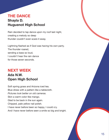#### **THE DANCE Shayla D. Huguenot High School**

Rain decided to tap dance upon my roof last night, creating a melody so deep thunder couldn't even scare it away.

Lightning flashed as if God was having his own party. The thunder roared, sending a bass so loud, I couldn't hear the rain dance for those seven seconds.

#### **NEXT WEEK Ada N.W. Open High School**

Soft spring grass and Arizona iced tea. Blue dress with a pattern like a tablecloth. *Pictures look better on old cameras.* Skin a warm color like mango. Glad to be back in the sun again. Chipped, pale yellow nail polish. I have never before been so happy, I could cry. And I have never before seen a smile so big and bright.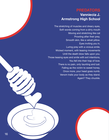#### **PREDATORS Vanniecia J. Armstrong High School**

The stretching of muscles and dreary eyes, Soft words coming from a dirty mouth Moving and stretching like cat Prowling after their prey. Smooth skin, like a velvet pillow. Eyes inviting you in, Luring prey with a vicious smile. Wicked moment, with teasing movements Until the death blow falls upon you. Those teasing eyes and smile with evil intentions, You fell into their trap of love. There is no pain, only taunting and lust. Falling as the victim to sweet honey. Once more, your head goes numb. Venom trails your body as they stand. Again? They chuckle.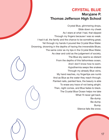#### **CRYSTAL BLUE Maryjane P. Thomas Jefferson High School**

Crystal Blue, glimmering drops, Slide down my cheek As I stare at what I had, that slipped Through my fingers because I was so weak. I had it all, the family and the chance to be something great, Yet through my hands it poured like Crystal Blue Water. Drowning, drowning in the depths of having the irreversible Blues. The same color as my lips in the Crystal Blue Water, As clear and cold as the judgement of society. The Blue sky seems so distant From the depths of this fathomless ocean, And I don't know how to swim. Hypothermia seeps like snakes Through my already Blue veins, My hand reaches, my fingertips are numb And as Blue as the water they reach through. Painted nails, painted face, the beauty is able To erase any trace of not being alright. Then, night comes, and Blue fades to black. The Crystal Blue Ocean helps me take What I'll never get back. Ba-dump. Ba-dump. Bump. Silence falls like snow.



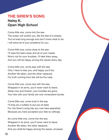#### **THE SIREN'S SONG Haley K. Open High School**

Come little one, come into the sea. The ocean will soothe you, like the feel of a breeze. You've lived long enough and don't know what to do. I will solve all of your problems for you.

Come little one, come close to the sea. I'll wipe the tears away and all of your needs. Worry not for your troubles, I'll take them away, And you will be happy among the waves every day.

Come little one, come play with the sea. Only I have to kiss you, and happy you'll be. Another life taken, and the other replaced, For truth coming from lies will be the case.

Come little one, come rest with the sea. Wrapped in its arms, you'll never want to leave. Sleep now and forever; your troubles are gone. Your ties with your family are now nonexistent bonds.

Come little one, come trust in the sea. I'll sing you a lullaby to put you at ease. For, the Siren's song has you now here peacefully Because you have accepted your fate so willingly.

So come little one, come into the sea. Wrapped in its arms, you'll never want to leave. Another life taken, the other replaced, And you shall be happy among the waves, encased.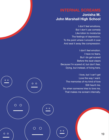#### **INTERNAL SCREAMS Jonisha M. John Marshall High School**

I don't feel emotions, But I don't use comedy Like lotion to moisturize The feelings of depression, To the point where I smooth it over And seal it away like compression.

I don't feel emotion. I have no fears, But I do get scared Before the dust clears Because I'm scared of, but don't fear, Dying, but instead, of living here.

I love, but I can't get Love the way I want. The memories of my kind of love Still haunt me, So when someone tries to love me, That makes me scream internally.

 $O$   $O$ 

 $0<sub>o</sub>$ 

 $0<sub>o</sub>$ 

 $0<sub>o</sub>$ 

 $0<sub>o</sub>$ 

 $\bigcirc$ 

 $\circ$ 

 $\bigcirc$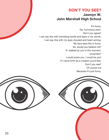#### **DON'T YOU SEE? Jasmyn W. John Marshall High School**

It's funny, No, humorous even. Don't you agree? I can say this with trembling hands and tears in my words. I can say this with my eyes clouded and heart aching. My face says *this is funny.* So, would you believe me? If I walked by you in this moment. Uncertain? I could scare you. I could be you! If I came forth as a creation you'd fear. Don't you see? Of course not Because it's just funny.

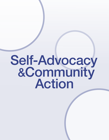## Self-Advocacy &Community Action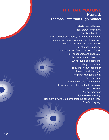### **Kyana J. Thomas Jefferson High School**

It started out with a girl, Tall, brown, and smart. She lived two lives. Poor, somber, and grubby when she went home. Clean, rich, and pretty when she went to school. She didn't want to face this lifestyle, But she had no choice. She had a best friend she couldn't visit, Tall, handsome, and chocolate. He was a little, troubled boy, But he loved his best friend. Many moons later, They finally saw each other. It was love at first sight. The party was going great, But, of course, Someone had to start shooting. It was time to protect that tall, brown girl. He had a car. A nice, fancy car. Lights started flashing. Her mom always told her to treat the police like kings. *Do what they say.*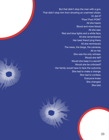But that didn't stop the man with a gun. That didn't stop him from shooting an unarmed citizen, Or did it? "Pow! Pow! POW!" All she heard. Blood and more blood, All she saw. Red and blue lights and a white face, All she remembered. Her best friend lying there, All she reminisced. The news, the blogs, the cameras, All on her. She was the only witness. Would she tell? Would she keep it a secret? Would she be criticized? Her family would have to face the outcome. She had to make a change. She had to confess. Everyone knew. She changed. She told.

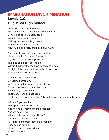#### **IMMIGRATION DISCRIMINATION Lovely C.C. Huguenot High School**

Let's talk about discrimination. The government's changing deportation laws. Bringing us back to segregation With this immigration hatred. Making innocent souls go down To their final destination, hell. Now Julio's on drugs, and he's hallucinating.

And Jose, he's in the basement drinking. He's scared his family won't make it. If you can't tell we're supposedly The land of the free, so, tell me, Why is it that my friends have to beg and plead for rights this country allows, with full conditions, To every and all of its citizens?

*Make America Great Again*

By caging humans in. We're all from the same descent, though Some think that's all an ancient myth. So, tell me, is it just a tale That Manuel will be shot dead, Sent back to a country he hasn't been tosince his young life began?

Why can't you see that This spreads hatred like a disease, And no one's remembering the sacrifices And words of King? What ever happened to his Dream? Why have cancerous laws that Kill families and treat them like peasants? Specify, and tell me, How can one be so oblivious To such a scene?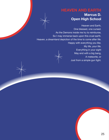### **Marcus D. Open High School**

Heaven and Earth, One blessed, one cursed. As the Demons inside me try to reimburse, So I may immerse back upon this cruel earth. Heaven, a dreamland depiction of the time to come after life. Happy with everything you like. My life, your life. Everything in your sight May end with a big bang, A meteorite, or Just from a simple gun fight.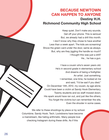#### **BECAUSE NEWTOWN CAN HAPPEN TO ANYONE Destiny H.H. Richmond Community High School**

Keep quiet. Don't make any sounds. Get off your phone. This is serious! But, we already had a drill this month. I don't know why they chose to have another Less than a week apart. The kids are screaming! Shove the green card under the door, same as always. But, why are they jiggling the handle so much? I thought this was just a drill? He... he has a gun.

I have a cousin who's seven years old. He's in second grade in elementary school And dreams of being a firefighter. An artist. Just something. I remember, one time, he looked at me and said, "I'd be sad if you died." On December 14th, 2012, my cousin, *by age alone*, Could have been a victim at Sandy Hook Elementary. Twenty students and six staff mowed down. His spark would have ran out, and just like the others, You forget the victims but can remember the site, Even the shooter in some cases.

We refer to these shootings by place or by school. Columbine. Sandy Hook. Tech. Lockdowns have become a mainstream, like hating arithmetic. Many people love checking Instagram during these drills. As if this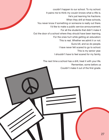couldn't happen to our school. To my school. It pains me to think my cousin knows what a rifle is. He's just learning his fractions. When they drill at these schools, You never know if something or someone is really out there. I'd like to make a public service announcement. For all the students that didn't make it Out the door of a school where they should have been learning. For the ones hurt while getting an education: This is real. Whether we admit it or not. Guns kill, and so do people. I have never felt scared to go to school. This is my senior year. I shouldn't have to feel scared for my family.

> The next time a school has a drill, treat it with your life. Remember, some before us Couldn't make it out of the first grade.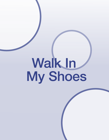# Walk In My Shoes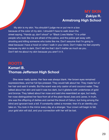#### **MY SKIN Zakiya R. Armstrong High School**

 My skin is my skin. You shouldn't judge me or put me in a box because of the color of my skin. I shouldn't have to walk down the street saying, "Hands up, don't shoot" or "Black Lives Matter." It is unfair people who look like me are afraid of the police, and the police get away with shooting and killing someone who looks like me. Don't assume that I'm going to steal because I have a hood on when I walk in your store. Don't make me feel unpretty because my skin is dark. Don't tell me that I don't matter as much as you. Don't tell me about my skin because you aren't in it.

#### **ROOTS Kamari B. Thomas Jefferson High School**

She never really spoke. Her face was always blank. Her brown eyes remained expressionless, and her full lips pressed. They would talk about her. They made fun of her hair and said it smells. But the scent was only castor oil and coconut water. They talked about her skin and said it was too dark, but it glistens with undertones of gold and bronze. They talked about her nose and said she resembled an ape, but really, her nose distinguished her face from all of the plain-faced Joes and Janes. In truth, she was the offspring of deities and carried the blood of Oshun, but living among the blind and ignorant took a toll. If constantly called a monster, then it's an identity you take on. You look in the mirror every day at a stranger. Your crown will begin to fall, your gold skin will dull, and your connection with her will be lost.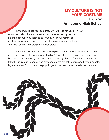#### **MY CULTURE IS NOT YOUR COSTUME India W. Armstrong High School**

My culture is not your costume. My culture is not used for your enjoyment. My culture is the art and achievement of my people. I'm mad because you listen to our music, wear our hair styles, clothes, features, and colors. I'm mad because you rename them. "Oh, look at my Kim Kardashian boxer braids."

I am mad because my people were picked on for having "monkey lips." Now, it's a trend. I was told my hair was "too big." Now, afros are a thing. I am oppressed because of my skin tone, but now, tanning is a thing. People from dominant culture take things from my people, who have been systematically oppressed by your people. My music went from hip-hop to pop. To get to the point: my culture is my costume.

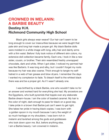#### **CROWNED IN MELANIN: A BARBIE BEAUTY Destiny H.H. Richmond Community High School**

Black girls always wear weave? Our hair can't seem to be long enough to cover our insecurities because we were taught that pale skin and long hair made a proper girl. My black Barbie dolls were molded in a white image with long, silky hair and dainty arms with a thin waist. Before I fully took notice of different skin colors, my extensive doll collection became family. Each one, I took in like a new sister, cousin, or brother. Their skin resembled freshly unwrapped chocolate, dark and white. When I got older, I noticed my permed hair was like Barbie's. It was long and silky, but I couldn't forget my roots because my hair was also coarse. Thick enough to tangle my selfhatred in a web of hair grease and blow dryers. I remember the days I wanted my complexion to fade. To bleach itself to the whitest black there was and be a proper girl. As if I wasn't already one.

I was birthed by a black Barbie, one who wouldn't take no for an answer and worked hard for everything she had. My ancestors are the Egyptians, who built pyramids that topple over any elaborate Barbie dream-house. I am the color of toasted caramel. My hair is the color of night, dark enough to pass for black on a good day. I take pride in a brown that Barbie just can't seem to get right. She takes her pride in having black copies. I was born with a golden spoon in my mouth because I carry the weight of so much heritage on my shoulders. I was born rich in melanin and lavished among the gods and goddesses who look down upon me. But, before anything else, I am a Barbie beauty. I am crowned in melanin.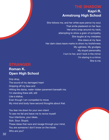### **Kapri R. Armstrong High School**

She follows me, and her white eyes pierce my soul. That smile plastered on her face. Her arms wrap around my neck, attempting to show a grain of sympathy. She laughs at my mistakes. She claws at my face. Her dark claws leave marks to show my foolishness. My ugliness. My grudges. My stupid personality. I turn to her, and I look in the mirror. I'm staring in a mirror. She is me.

#### **STRANGER**

#### **Roman K. Open High School**

Drip drop, The sound of my damaged heart Dripping off my face and Hitting the damp, water ridden pavement beneath me. I'm standing there still, still Like a statue, Even though I am compelled to move. My mind and body have second thoughts about that.

You tear me down for your own intent To see me fail and leave me to revive myself. Your intentions, your ideas, Sick. Sour. Stupid. These ideas that race and ravage through your mind, You are someone I don't know on the inside. Who are you?

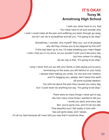#### **IT'S OKAY Torey W. Armstrong High School**

I wish you never have to cry, that You never have to sit and wonder why. I wish I could make all the pain and suffering you been through go away, but all I can do is sympathize and tell you, "It's going to be okay."

Sometimes, I wonder, why myself? Why you, out of all people, why did they choose you to be plagued by this evil? If this had been up to me, I'd make breaking your heart illegal. I wish I had you in my arms, so you wouldn't wish you'd die every day, but from where I'm sitting, all can say is that, "It's going to be okay."

I pray I never find out you left your family a note saying you're sorry, reminiscing on the scars you left behind on your body. I always tried making you smile, my one and only mission, and I'm begging you, please, don't leave this earth off some suicidal ideation. You told me about the pain they caused you every day, but I could never do anything but say, "It's going to be okay."

There were so many things I never got to say, like how many more times I wanted to tell you, I loved you each and every day. But, you're gone now, and it's far too late. That beautiful soul I fell madly in love with has just gone away, and I swear, it's all my fault because all I ever told you was that it would be okay.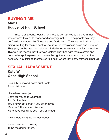#### **BUYING TIME Max E. Huguenot High School**

They're all around, looking for a way to corrupt you to believe in their little scheme they call "peace" and sovereign nation. Some people say they don't exist anymore, like Dinosaurs and Dodo birds. They are not in sight but in hiding, waiting for the moment to rise up when everyone is down and conquer. They prey on the weak and slower minded ones who can't think for themselves. This was the reason they first won victory. They had with them a smart and persuasive spokesperson who knew the right words and what people often debated. They listened themselves to a point where they knew they could not fail.

#### **SEXUAL HARASSMENT Kate W. Open High School**

Sexuality is shoved down our throats Since childhood.

I have been an object. She's too young to wear that, Too fat, too thin. You'll never get a man if you act that way. Men don't like women like you. More guys would like you if you changed.

Why should I change for their benefit?

We're intended to be clay, To be molded for them.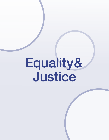# Equality & Justice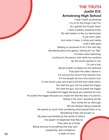#### **THE TRUTH**

#### **Justin D.V. Armstrong High School**

I beat myself up because I try to fix the things I can't fix, So I gained this Purple Heart. I have a battery-powered smile. My self-esteem is like my lawnmower, It just won't start. And when it does, it clinks and clanks Until it falls apart Waiting on someone to fix it the next day. Wondering about the galaxy, looking for my "Me." I've been solar searching. Looking for the person who stole my sunshine By the words placed on me. I'm just a boy. Bones broken to bleed out the rainbows That paint the walls I dance in. It's not just the church that shames love, It's the people we love who shame love. A man found a gun and tried to kill the truth deep within. You held the gun, but he pulled the trigger. You held the gun, but he pulled the trigger. He pulled the trigger because you shamed his love. He pulled the trigger because you made him feel like less of a person. Sitting in his room, doubting his life. Your words kill us; although, We are already killing ourselves. We spend so much time wondering what people think of us, Wondering if they will accept us. My peers are blinded by the words of others. Any gleam of happiness that flies by They take as a threat, Being envious of something that they lack. Leadership, self-confidence, 36 A state of mind.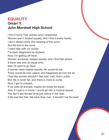#### **EQUALITY Omari Y. John Marshall High School**

I find it funny how women aren't respected. Women aren't treated equally, and I find it pretty hectic. I don't always know the meaning of the word, But the bird is the word. I need help with my words; I've been diagnosed as dyslexic. Now, I'm getting off track. Women are barely treated equally, and I find that whack. If there was ever an equal time, Man I'd want to go back. If women were treated equally, life would be fair. There would be love, peace, and happiness all over the air. I feel like women shouldn't feel bad, man, that's unfair. But, life is never fair, and there is more to come. Now, I got to prepare. If we were all animals, maybe we would be equal. And, if I was in a movie, I would go into a musical sequel. You don't see female birds just sitting in the nest. If life was like that, like back then man, it wouldn't be the best.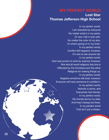#### **MY PERFECT WORLD Lost Star Thomas Jefferson High School**

In my perfect world, I am tolerated by everyone No matter what's in my pants, Or who I fall in love with. No matter the color of my skin, Or what's going on in my brain. In my perfect world, Conflict still happens; however, It's rare to see anyone die. In my perfect world, God was proven to exist by science; however, She told all world religions that she is Offended by the Christians and the other Religions for making things up. In my perfect world, Negative emotions still exist; however, Everyone will have someone to confide in. In my perfect world, Nobody is alone, and Everybody has friends. In my perfect world, My friends are by my side, And they'll always be there. In my perfect world That isn't just a dream.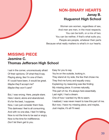#### **NON-BINARY HEARTS Janay B. Huguenot High School**

Women are women, regardless of sex, And men are men, in the most respects. You can be both, or a mix of two. You can be neither, if that's what suits you. People are people, whatever their parts Because what really matters is what's in our hearts.

#### **MISSING PIECE Jasmine C. Thomas Jefferson High School**

I sat in the corner, unconsciously afraid Of their opinions. Of what they'd say. Playing along, like I'm one of them. If I could have been, it would be great. *Maybe they'll accept me? Maybe they won't care?*

But, I was wrong. Here, people stare. Here I stand, alone and abandoned. It's for the best, I suppose. Now, I can just consider them foes. This darkness I feel is all consuming, And with no one else, I feel I'm falling. Now is not the time to be sad or angry. Now is the time for indifference. *Don't let them get to you*.

Easy for you to say.

You're on the outside, looking in. They stand at my side, the few that chose me. They find me funny and equally crazy. Explaining my reasoning was like finding My missing piece. It comes naturally, This part of me. It's always here essentially. Last night, I had a dream. One of how I wanted my life to seem. I realized, I was never meant to lose this part of me. But now, I have my missing piece, and maybe, Just maybe, it's all I'll need.

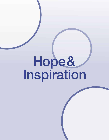# Hope & Inspiration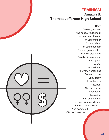#### **FEMINISM Amazin B. Thomas Jefferson High School**

Baby,

I'm every woman, And honey, I'm loving it. Women are different: I'm your mother. I'm your sister. I'm your daughter. I'm your grandmother. But, I'm also more: I'm a businesswoman. A firefighter. A cop. A president. I'm every woman and So much more. Baby, Baby, I can be your Wife, but I Also have a life. I'm not yours. I am mine. I can be a mother. I'm every woman, darling. I may be soft spoken And sweet, but Oh, don't test me!

 $\mathcal{E}$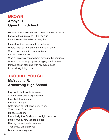#### **BROWN Amaya B. Open High School**

My eyes flutter closed when I come home from work. I sway to the music and ruffle my skirt. Little brown radio, take away my hurt!

Its mellow time takes me to a better land, Where I can be in charge and make all plans. Where my head spins from excitement Instead of exhaustion. Where I enjoy nightlife without having to be cautious. Where I can sit atop a piano, singing soulful tunes Instead of just standing with my eyes closed In this dusty living room.

#### **TROUBLE YOU SEE Ma'reesha R. Armstrong High School**

I try not to, but words form me, And my emotions overpower me. I run, but they find me. I want to escape. *Help me*, is all that pops in my mind. Then, music found me. It understood me. I was finally free finally with the light I wish for. Music, music, how you lift me up! Healing me and my broken feels. Thank you. Oh, thank you! Music, you carry me.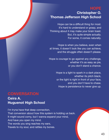#### **HOPE**

#### **Christopher O. Thomas Jefferson High School**

Hope can be a difficult thing for most. It's hard to understand or grasp, and Thinking about it may make your brain toast. But, it's quite simple actually. For some, it comes naturally.

Hope is when you believe, even when at times, it doesn't look like you can achieve, and the struggle often doesn't please.

Hope is courage to go against any challenge, whether it's as easy as pie, or you don't stand a chance.

> Hope is a light to spark in a dark place, whether its pitch black, or the light is right in front of your face, and you don't have to chase. Hope is persistence to never give up.

#### **CONVERSATION**

#### **Ceira A. Huguenot High School**

I'm tryna have that deep connection, That conversion about how this system is holding us back. It might sound corny, but I wanna expand your mind, And have you open my mind. The words you sing reaches my ears, Travels to my soul, and rattles my bones.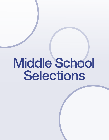## Middle School Selections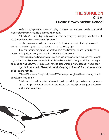#### **THE SURGEON Cat A. Lucille Brown Middle School**

*Wake up*. My eyes snap open. I am lying on a metal bed in a bright, sterile room. A tall man is standing over me. He is the one who spoke.

"Stand up," he says. My body moves automatically, my legs swinging over the side of the bed and propelling me upward. "Sit down."

I sit. My eyes widen. Why am I moving? I try to stand up again, but my legs won't budge. "Wh-what's going on?" I stammer. "I can't move my legs!"

The man ignores me, speaking another command instead. "Stand up and jump up and down." Again, my body moves automatically, and I stand up.

I start jumping, and immediately I feel a pain in my head, a pain that pierces through my skull and nearly causes me to black out. I stumble and fall to the ground. The man sighs and shakes his head. "Well, I guess we'll have to keep working. Now, get back in your bed."

I get back in the bed. "Please, tell me what's going on! Please!" The man looks at me coldly, saying nothing.

"Please!" I scream. "Help! Help meee!" The man puts a gloved hand over my mouth, effectively silencing me.

"Go to sleep." I suddenly feel exhausted. I go limp and struggle to keep my eyes open. "S...st….stop," I mumble, but it's too late. Drifting off to sleep, the surgeon's cold eyes are the last things I see.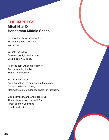#### **THE IMPRESS Mirahkhal D. Henderson Middle School**

I'm about to show y'all what the Electromagnetic spectrum Is all about.

Yo, light is the key. Open up the light and let your Life be free. You'll see.

All of the light will come together And make a big bubble That will stay forever.

Yo, black and white Are different on the outside, but the colors Come together and unite, Making the electromagnetic spectrum just right.

Black comes in, and white goes out. The rainbow is now out, and I'm About to show you what. Now in and out.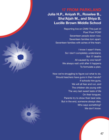#### **17 FROM PARKLAND Julia H.P., Aniyah R., Roselee B., Sha'Aijah M., and Shiya B. Lucille Brown Middle School**

Reporting live on CNN! This just in! Pow! Pow! POW! Seventeen people down now. Seventeen families torn apart. Seventeen families with aches of the heart.

> I know I wasn't there, So I don't completely understand, But 17 deaths All caused by one hand? We always wait until after it happens To formulate a plan.

Now we're struggling to figure out what to do. Should teachers have guns in their hands? If schools hire guns, We will all fear and run, and The children die young with The very last sweet taste of life On their tongues. Parents try to show their best side, But in the end, someone always dies. Who says something? We don't know.

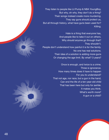They listen to people like Lil Pump & NBA YoungBoy, But why, oh why, they don't do a thing? Their songs instead create more murdering. They say guns should protect us, But all through history, what have guns been used for? Killing.

Hate is a thing that everyone has, And people like to take it out on others. Why should anyone go through that? They shouldn't. People don't understand how painful it is for the family. No one has real solutions. Their idea of a solution is adding more guns Or changing the age limit. By what? 3 years?

> Once is enough, and twice is a crime. Three is ignorance. How many times does it have to happen For you to understand? That not age, nor race, but a gun in the hand, Can end the life of a ten-year-old child That has been here but only for awhile. It makes you think. What's worth more? A gun or a child?

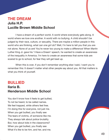#### **THE DREAM Julia H.P. Lucille Brown Middle School**

I have a dream of a perfect world. A world where everybody gets along. A world where we love one another. A world with no bullying. A child shouldn't be judged by their race, culture, or sexuality. There are maybe a million people in this world who are thinking, *what can one girl do*? Well, I'm here to tell you that you are not alone. None of us are! You're never too young to make a difference! When Martin Luther King Jr. gave his 'I Have a Dream' speech, he wanted to create an awareness of the inequality in America. I'm here to create an awareness that some kids are scared to go to school, for fear they will get beat up.

When this is over, if you don't remember anything else I said, I want you to remember this: It doesn't matter what other people say about you. All that matters is what you think of yourself.

#### **BULLIED Ilaria B. Henderson Middle School**

You don't know how it feels to get bullied, To not be heard, to be called names. We feel trapped, while others feel free. I'm doing this for everyone, not just me. When you get bullied, you finally see The tears of victims, of someone like me. They always talk about police brutality. But, how about kids in the classrooms? When you get bullied, you finally see What it's like to be him, and her, and me.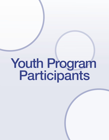## Youth Program Participants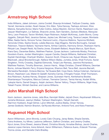#### **Armstrong High School**

India Williams, Jaleel Johnson, Jukira Cordell, Shaunja Armsteed, TraQuan Crawley, Jada Yarrell, Vanniecia Jordan, Noah Harper, Eric Allen, Tykia Dancey, Tashaya Johnson, Eliza Malone, Kenyatta Soniul, Mario Fuller-Collins, Zatiya Macklin, Da'mon Hamb, Raeshawn Lee, Jaquan Washington, Liz Salinas, Shacorie Jones, Sam Sanders, Zackary Bledsoe, Marquise Terry, Leon Prescod, Tavion Winfield, Kapri Robinson, Katijah McKinney, Justin Morris, Corey Jiggetts, Zakiyah Reid, Javarius Gaines, Jaylea Lee, Michael Long, Tavarus Leeper, Montasia Miller, Nadia Harris, Simone Turner, Diamond Lentz, J'Ayonna Watkins, Tayionna Winfield, Tamonda Chiles, Sasha Goody, Latalia Baccow, Daja Wiggins, Nia'sha Burroughs, Canaan Robinson, Treavon Ballard, Yazmane Harris, Airhiez Cabrera, Harmony Simon, Roshawn Harris, Rikiyah Lee, Deajah Redd, Ny'Desha Jones, Elizabeth Ballard, Akayla Marcus, Spirit Bunn, Kiara Gary, Davantae Ballou, Matthew Pastran, Zynae Jackson, Lashonda Mosby, Precious Goodwin-Evans, Jordan Washington, Laquan Candia, Daoyla Williams, Nathaniel Christian, Kayliah Dandridge, Charliyah Shelton, Quavion Scott, Chiauna Lee, Kyjuan Moses, Shakira Blackwell, Jakye Brockenbrough, Nafiece Wilson-Bailey, Jumeka Jones, Khali Fortune, Xavier Singleton, Trinity Crossley, Dajahlai Edmonds, Tonjai Lee-Ramsey, Jasmine Richardson, Matthew Pastran, Timothy Bowman, Joevon Harris, Nilaja Christian, Cherell Williams, Deontae Burns, Johnae Macklin-Terry, Eriyana Hargrove, Shamon Bell, Tarus Bell, Javonia Barnett, Ma'reesha Randolph, Octavia Marrow, Tar'Quasia Bell, Coye Davis, Kahya Coleman, Damarcus Brown, Raeshawn Lee, Makel Al-Qadaff, Kanisha Carney, D'Angelo Fosser, Khall Thompson, Ana Robinson, Audrea Harvey, Shajwan Jones, Quinsean Harris, Kentisharina Booker, Shantaneque Thompkins, Marcus Cotman, Tremaine Cannon, Tamia Harvey, Kodak White, Lakayla Harris, Darrell Gregory, Asijah Jackson, Ramer Yellory, Theyon Williams, Nigel Huey, Taleah Frazier, Wintah Gardner, and Lianna Williams.

#### **John Marshall High School**

Kavin Jackson, Jasmine Jones, Jaila Blue, Kennijah Waller, Jalyiah Dixon, Keyshareah Wilburns, Jonisha Mckiever, Jasmyn Walker, Tyshawn Washington, Taliyah Garnett, Rae'mon Hubbard, Angel Gilmer, Laron Mitchell, Justice Bailey, Omari Yancey, James Godbold, Keimon Braxton, Ge'Nyveia Morman, Antione Ford, and Kiera Freeman.

#### **Huguenot High School**

Aaron Williamson, Jeron Brondy, Lovely Cato-Chuang, Janay Bates, Shayla Daniels, Ceira Andrews, Ivy Mines, Ladonna Jefferson, Saffron Christian, and Jeremy Ovalles, Nyrul Jones, Erica Sheed, Jessica Sheed, Christina Woody, Annalise Bishop, Jacob Charles, Jessica Lopez-Herrera, Irene Adrandi, Aaron Williamson, Patience Auera, A'daizah Thomas, Tionna Jones, and Danielle Clark-Bradley.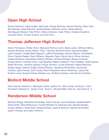#### **Open High School**

Roman Koshock, Haley Knight, Gabi Kelly, Amaya Branche, Jennoa Fleming, Renn Trani, Ben Ramsey, Hank Blancett, Andrea Moses, Shakirah Jones, Tobias Weaver, Ada Nguyen-Weaver, Kate Wittich, Marcus Danson, Sean Peters, Chelsea Crawford, Cambria Green, Vincent Greene, and Zion Perry.

#### **Thomas Jefferson High School**

Savon Thompson, Tristan Wynn, Maryjane Perkins-Lynch, Myca Lester, Anthony Adkins, Kachief Andrews, Xavier Adkins, Tracy Fleming, RaJahné Harris, Geovanny Mejia, Justin Daniels, Cozette Bell-Ferguson, LaRhee Woolridge, Amazin Bullock, Christopher Oliver, Damien Napier, Alyah Williams, Marquez Taylor, Alycia Harris, Mone Johnson, Justice Robinson, Damoniece Wilkins-Pittman, Za'Niya Ethridge, Shanya Foreman, Kinaya Gibson, Caroline Clark, Luke Mauthey, Randy Anderson, Paris Callahan, Nyah Sydnor, Nielah Brunson, Jameina Jackson, Krisya Johnson, La-Ke Anderson, Kelsie Robinson, Keasla Jasper, Destiny Knight, Kamari Branch, Jaymesha Richardson, NyJuaniah, Crawley, Jayla Townes, Dion Cosby, Raven Pleasants, Alexis Greshman, Jaycia Hill, Kirtavia Lorey, Greyson Flores, Natalie Luce, ShaNya Foreman, and Jasmine Childers.

#### **Binford Middle School**

Kevin Gerrick, Kamari G., Moniquee Jones, Jaishon B., Lillian Jones, Kimitria C., Ford Armstead, Makayla R., Jaedyn Cook, Torey H., Michael Miles, Eian M., and Calvin E. Jr.

#### **Henderson Middle School**

Brandon Briggs, Mirahkhal Dandridge, Carlos Harvey, Lavel Hukeless, Asaada Martin, Kayla Smith, Illaria Betancourt, Conald Whitaker III, Adaviyah Aziz, Naveah Morgan, Xzavier Watkins, Isaiah Beck, Shaquis Brown, Ayanna Shannon, Marina Hernandez, Jaylen Thomas, and Jadyn Anthony.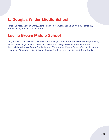#### **L. Douglas Wilder Middle School**

Amani Guilford, Daesha Lyans, Asani Turner, Noori Austin, Jonathan Ingram, Nathan R., Zachariah G., Rain B., and Lintreal E.

#### **Lucille Brown Middle School**

Aniyah Rose, Zion Delaney, Julia Hall-Pace, Jahmya Graham, Tanaisha Mitchell, Shiya Brown, Sha'Aijah McLaughlin, Emaza Whitlock, Alicia Ford, A'Mya Thomas, Roselee Bubanji, Jamiya Mitchell, Aniya Tyson, Cat Anderson, Ti'elle Young, Keyana Brown, Camryn Arrington, Lasaundra Abernathy, Laila Littlejohn, Patrick Braxton, Leon Hopkins, and K'mya Bradley.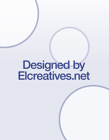### Designed by Elcreatives.net